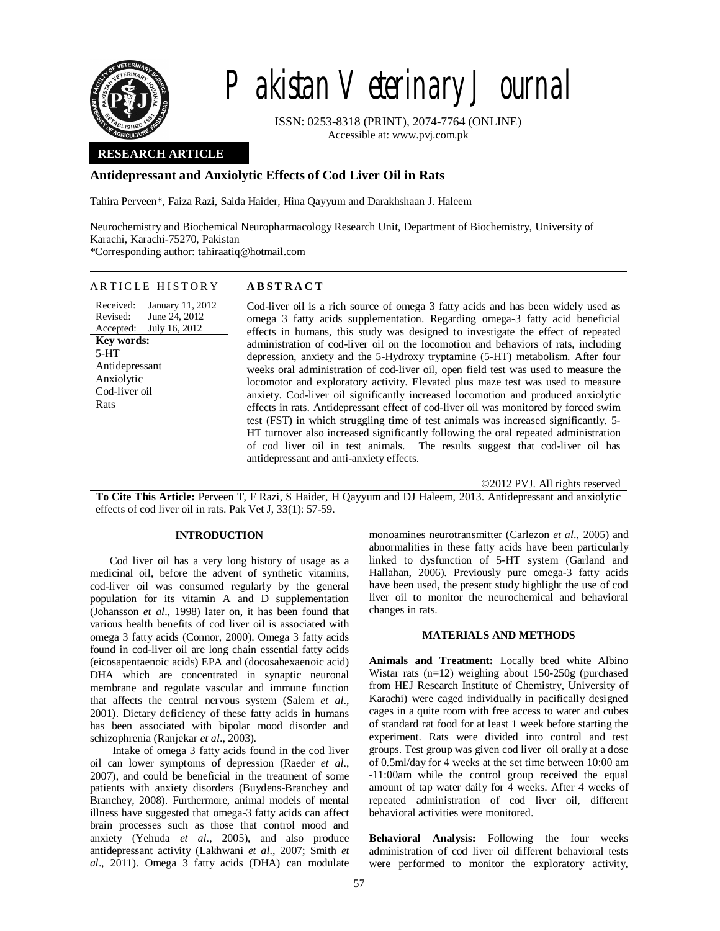

# Pakistan Veterinary Journal

ISSN: 0253-8318 (PRINT), 2074-7764 (ONLINE) Accessible at: www.pvj.com.pk

## **RESEARCH ARTICLE**

## **Antidepressant and Anxiolytic Effects of Cod Liver Oil in Rats**

Tahira Perveen\*, Faiza Razi, Saida Haider, Hina Qayyum and Darakhshaan J. Haleem

Neurochemistry and Biochemical Neuropharmacology Research Unit, Department of Biochemistry, University of Karachi, Karachi-75270, Pakistan \*Corresponding author: tahiraatiq@hotmail.com

## A R T I C L E H I S T O R Y **A B S T R A C T**

Received: Revised: Accepted: January 11, 2012 June 24, 2012 July 16, 2012 **Key words:**  5-HT Antidepressant Anxiolytic Cod-liver oil Rats

Cod-liver oil is a rich source of omega 3 fatty acids and has been widely used as omega 3 fatty acids supplementation. Regarding omega-3 fatty acid beneficial effects in humans, this study was designed to investigate the effect of repeated administration of cod-liver oil on the locomotion and behaviors of rats, including depression, anxiety and the 5-Hydroxy tryptamine (5-HT) metabolism. After four weeks oral administration of cod-liver oil, open field test was used to measure the locomotor and exploratory activity. Elevated plus maze test was used to measure anxiety. Cod-liver oil significantly increased locomotion and produced anxiolytic effects in rats. Antidepressant effect of cod-liver oil was monitored by forced swim test (FST) in which struggling time of test animals was increased significantly. 5- HT turnover also increased significantly following the oral repeated administration of cod liver oil in test animals. The results suggest that cod-liver oil has antidepressant and anti-anxiety effects.

©2012 PVJ. All rights reserved

**To Cite This Article:** Perveen T, F Razi, S Haider, H Qayyum and DJ Haleem, 2013. Antidepressant and anxiolytic effects of cod liver oil in rats. Pak Vet J, 33(1): 57-59.

### **INTRODUCTION**

Cod liver oil has a very long history of usage as a medicinal oil, before the advent of synthetic vitamins, cod-liver oil was consumed regularly by the general population for its vitamin A and D supplementation (Johansson *et al*., 1998) later on, it has been found that various health benefits of cod liver oil is associated with omega 3 fatty acids (Connor, 2000). Omega 3 fatty acids found in cod-liver oil are long chain essential fatty acids (eicosapentaenoic acids) EPA and (docosahexaenoic acid) DHA which are concentrated in synaptic neuronal membrane and regulate vascular and immune function that affects the central nervous system (Salem *et al*., 2001). Dietary deficiency of these fatty acids in humans has been associated with bipolar mood disorder and schizophrenia (Ranjekar *et al*., 2003).

Intake of omega 3 fatty acids found in the cod liver oil can lower symptoms of depression (Raeder *et al*., 2007), and could be beneficial in the treatment of some patients with anxiety disorders (Buydens-Branchey and Branchey, 2008). Furthermore, animal models of mental illness have suggested that omega-3 fatty acids can affect brain processes such as those that control mood and anxiety (Yehuda *et al*., 2005), and also produce antidepressant activity (Lakhwani *et al*., 2007; Smith *et al*., 2011). Omega 3 fatty acids (DHA) can modulate

monoamines neurotransmitter (Carlezon *et al*., 2005) and abnormalities in these fatty acids have been particularly linked to dysfunction of 5-HT system (Garland and Hallahan, 2006). Previously pure omega-3 fatty acids have been used, the present study highlight the use of cod liver oil to monitor the neurochemical and behavioral changes in rats.

## **MATERIALS AND METHODS**

**Animals and Treatment:** Locally bred white Albino Wistar rats (n=12) weighing about 150-250g (purchased from HEJ Research Institute of Chemistry, University of Karachi) were caged individually in pacifically designed cages in a quite room with free access to water and cubes of standard rat food for at least 1 week before starting the experiment. Rats were divided into control and test groups. Test group was given cod liver oil orally at a dose of 0.5ml/day for 4 weeks at the set time between 10:00 am -11:00am while the control group received the equal amount of tap water daily for 4 weeks. After 4 weeks of repeated administration of cod liver oil, different behavioral activities were monitored.

**Behavioral Analysis:** Following the four weeks administration of cod liver oil different behavioral tests were performed to monitor the exploratory activity,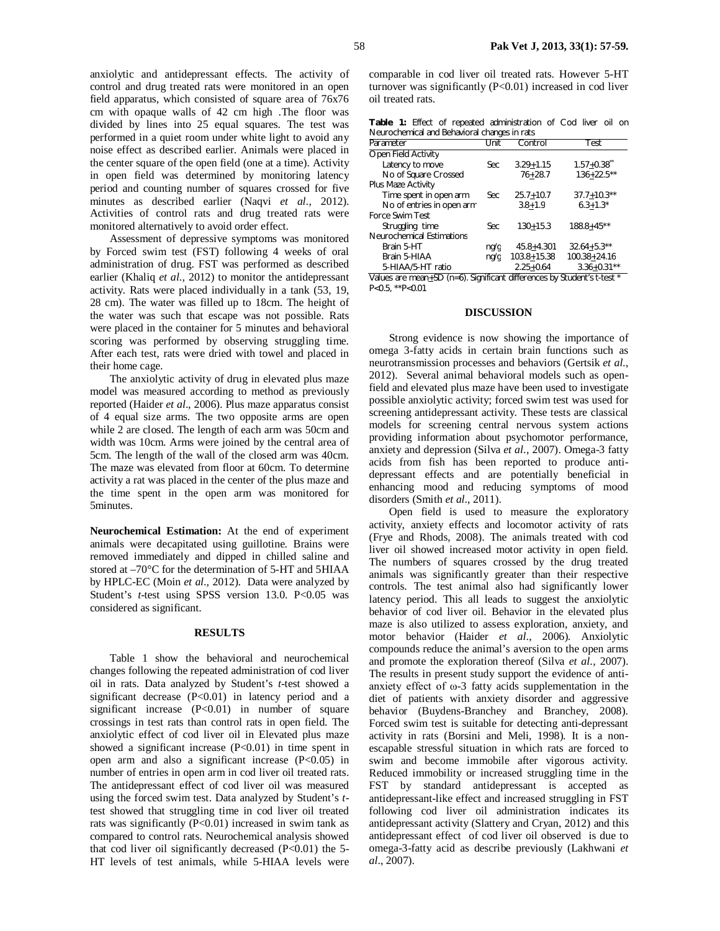anxiolytic and antidepressant effects. The activity of control and drug treated rats were monitored in an open field apparatus, which consisted of square area of 76x76 cm with opaque walls of 42 cm high .The floor was divided by lines into 25 equal squares. The test was performed in a quiet room under white light to avoid any noise effect as described earlier. Animals were placed in the center square of the open field (one at a time). Activity in open field was determined by monitoring latency period and counting number of squares crossed for five minutes as described earlier (Naqvi *et al.,* 2012). Activities of control rats and drug treated rats were monitored alternatively to avoid order effect.

Assessment of depressive symptoms was monitored by Forced swim test (FST) following 4 weeks of oral administration of drug. FST was performed as described earlier (Khaliq *et al.,* 2012) to monitor the antidepressant activity. Rats were placed individually in a tank (53, 19, 28 cm). The water was filled up to 18cm. The height of the water was such that escape was not possible. Rats were placed in the container for 5 minutes and behavioral scoring was performed by observing struggling time. After each test, rats were dried with towel and placed in their home cage.

The anxiolytic activity of drug in elevated plus maze model was measured according to method as previously reported (Haider *et al*., 2006). Plus maze apparatus consist of 4 equal size arms. The two opposite arms are open while 2 are closed. The length of each arm was 50cm and width was 10cm. Arms were joined by the central area of 5cm. The length of the wall of the closed arm was 40cm. The maze was elevated from floor at 60cm. To determine activity a rat was placed in the center of the plus maze and the time spent in the open arm was monitored for 5minutes.

**Neurochemical Estimation:** At the end of experiment animals were decapitated using guillotine. Brains were removed immediately and dipped in chilled saline and stored at –70°C for the determination of 5-HT and 5HIAA by HPLC-EC (Moin *et al.,* 2012). Data were analyzed by Student's *t*-test using SPSS version 13.0. P<0.05 was considered as significant.

### **RESULTS**

Table 1 show the behavioral and neurochemical changes following the repeated administration of cod liver oil in rats. Data analyzed by Student's *t*-test showed a significant decrease (P<0.01) in latency period and a significant increase (P<0.01) in number of square crossings in test rats than control rats in open field. The anxiolytic effect of cod liver oil in Elevated plus maze showed a significant increase  $(P<0.01)$  in time spent in open arm and also a significant increase  $(P<0.05)$  in number of entries in open arm in cod liver oil treated rats. The antidepressant effect of cod liver oil was measured using the forced swim test. Data analyzed by Student's *t*test showed that struggling time in cod liver oil treated rats was significantly (P<0.01) increased in swim tank as compared to control rats. Neurochemical analysis showed that cod liver oil significantly decreased  $(P<0.01)$  the 5-HT levels of test animals, while 5-HIAA levels were

comparable in cod liver oil treated rats. However 5-HT turnover was significantly (P<0.01) increased in cod liver oil treated rats.

|  |  | Table 1: Effect of repeated administration of Cod liver oil on |  |  |  |
|--|--|----------------------------------------------------------------|--|--|--|
|  |  | Neurochemical and Behavioral changes in rats                   |  |  |  |

| Parameter                                                              | Unit | Control         | Test             |  |  |  |  |
|------------------------------------------------------------------------|------|-----------------|------------------|--|--|--|--|
| Open Field Activity                                                    |      |                 |                  |  |  |  |  |
| Latency to move                                                        | Sec  | $3.29 + 1.15$   | $1.57 + 0.38$    |  |  |  |  |
| No of Square Crossed                                                   |      | $76 + 28.7$     | $136+22.5**$     |  |  |  |  |
| Plus Maze Activity                                                     |      |                 |                  |  |  |  |  |
| Time spent in open arm                                                 | Sec  | $25.7 + 10.7$   | $37.7 + 10.3**$  |  |  |  |  |
| No of entries in open arm                                              |      | $3.8 + 1.9$     | $6.3 + 1.3*$     |  |  |  |  |
| Force Swim Test                                                        |      |                 |                  |  |  |  |  |
| Struggling time                                                        | Sec  | $130 + 15.3$    | $188.8 + 45**$   |  |  |  |  |
| Neurochemical Estimations                                              |      |                 |                  |  |  |  |  |
| Brain 5-HT                                                             | nq/q | $45.8 + 4.301$  | $32.64 + 5.3**$  |  |  |  |  |
| Brain 5-HIAA                                                           | nq/q | $103.8 + 15.38$ | $100.38 + 24.16$ |  |  |  |  |
| 5-HIAA/5-HT ratio                                                      |      | $2.25 + 0.64$   | $3.36 + 0.31**$  |  |  |  |  |
| Cianificant differences by Ctudent's t tost *<br>Values are mean CD (n |      |                 |                  |  |  |  |  |

n<u>+</u>SD (n=6). Significant differences by Student's *t*-test P<0.5, \*\*P<0.01

#### **DISCUSSION**

Strong evidence is now showing the importance of omega 3-fatty acids in certain brain functions such as neurotransmission processes and behaviors (Gertsik *et al.*, 2012). Several animal behavioral models such as openfield and elevated plus maze have been used to investigate possible anxiolytic activity; forced swim test was used for screening antidepressant activity. These tests are classical models for screening central nervous system actions providing information about psychomotor performance, anxiety and depression (Silva *et al*., 2007). Omega-3 fatty acids from fish has been reported to produce antidepressant effects and are potentially beneficial in enhancing mood and reducing symptoms of mood disorders (Smith *et al*., 2011).

Open field is used to measure the exploratory activity, anxiety effects and locomotor activity of rats (Frye and Rhods, 2008). The animals treated with cod liver oil showed increased motor activity in open field. The numbers of squares crossed by the drug treated animals was significantly greater than their respective controls. The test animal also had significantly lower latency period. This all leads to suggest the anxiolytic behavior of cod liver oil. Behavior in the elevated plus maze is also utilized to assess exploration, anxiety, and motor behavior (Haider *et al*., 2006). Anxiolytic compounds reduce the animal's aversion to the open arms and promote the exploration thereof (Silva *et al*., 2007). The results in present study support the evidence of antianxiety effect of ω-3 fatty acids supplementation in the diet of patients with anxiety disorder and aggressive behavior (Buydens-Branchey and Branchey, 2008). Forced swim test is suitable for detecting anti-depressant activity in rats (Borsini and Meli, 1998). It is a nonescapable stressful situation in which rats are forced to swim and become immobile after vigorous activity. Reduced immobility or increased struggling time in the FST by standard antidepressant is accepted as antidepressant-like effect and increased struggling in FST following cod liver oil administration indicates its antidepressant activity (Slattery and Cryan, 2012) and this antidepressant effect of cod liver oil observed is due to omega-3-fatty acid as describe previously (Lakhwani *et al*., 2007).